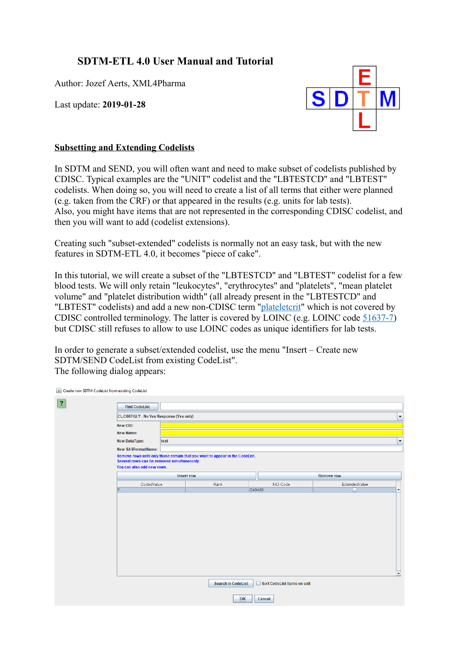## **SDTM-ETL 4.0 User Manual and Tutorial**

Author: Jozef Aerts, XML4Pharma

Last update: **2019-01-28**



## **Subsetting and Extending Codelists**

In SDTM and SEND, you will often want and need to make subset of codelists published by CDISC. Typical examples are the "UNIT" codelist and the "LBTESTCD" and "LBTEST" codelists. When doing so, you will need to create a list of all terms that either were planned (e.g. taken from the CRF) or that appeared in the results (e.g. units for lab tests). Also, you might have items that are not represented in the corresponding CDISC codelist, and then you will want to add (codelist extensions).

Creating such "subset-extended" codelists is normally not an easy task, but with the new features in SDTM-ETL 4.0, it becomes "piece of cake".

In this tutorial, we will create a subset of the "LBTESTCD" and "LBTEST" codelist for a few blood tests. We will only retain "leukocytes", "erythrocytes" and "platelets", "mean platelet volume" and "platelet distribution width" (all already present in the "LBTESTCD" and "LBTEST" codelists) and add a new non-CDISC term "[plateletcrit](https://www.ncbi.nlm.nih.gov/pubmed/15094938")" which is not covered by CDISC controlled terminology. The latter is covered by LOINC (e.g. LOINC code [51637-7\)](https://s.details.loinc.org/LOINC/51637-7.html) but CDISC still refuses to allow to use LOINC codes as unique identifiers for lab tests.

In order to generate a subset/extended codelist, use the menu "Insert – Create new SDTM/SEND CodeList from existing CodeList". The following dialog appears:

| $\overline{\mathbf{?}}$ | <b>Find CodeList</b>                        |      |                                                                              |                             |                                   |                          |
|-------------------------|---------------------------------------------|------|------------------------------------------------------------------------------|-----------------------------|-----------------------------------|--------------------------|
|                         | CL.C66742.Y - No Yes Response (Yes only)    |      |                                                                              |                             |                                   | $\overline{\phantom{a}}$ |
|                         | New OID:                                    |      |                                                                              |                             |                                   |                          |
|                         | <b>New Name:</b>                            |      |                                                                              |                             |                                   |                          |
|                         | <b>New DataType:</b>                        | text |                                                                              |                             |                                   | $\overline{\phantom{a}}$ |
|                         | <b>New SASFormatName:</b>                   |      |                                                                              |                             |                                   |                          |
|                         | Several rows can be removed simultaneously. |      | Remove rows until only those remain that you want to appear in the CodeList. |                             |                                   |                          |
|                         | You can also add new rows.                  |      |                                                                              |                             |                                   |                          |
|                         |                                             |      | Insert row                                                                   |                             | <b>Remove row</b>                 |                          |
|                         | CodedValue                                  |      | Rank                                                                         | <b>NCI Code</b><br>C49488   | ExtendedValue<br>$\blacktriangle$ |                          |
|                         |                                             |      |                                                                              |                             | $\overline{\phantom{0}}$          |                          |
|                         |                                             |      | <b>Search in CodeList</b>                                                    | Sort CodeList Items on exit |                                   |                          |
|                         |                                             |      | OK                                                                           | Cancel                      |                                   |                          |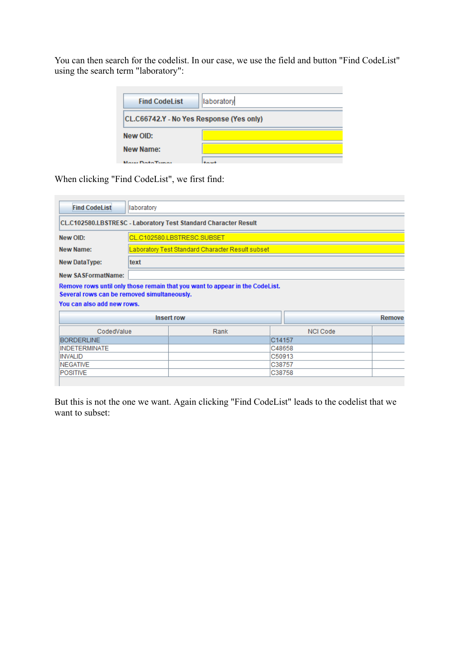You can then search for the codelist. In our case, we use the field and button "Find CodeList" using the search term "laboratory":

| <b>Find CodeList</b>                     | laboratory |
|------------------------------------------|------------|
| CL.C66742.Y - No Yes Response (Yes only) |            |
| New OID:                                 |            |
| New Name:                                |            |
| <b>Naue Data Tuppe</b>                   |            |

When clicking "Find CodeList", we first find:

| <b>Find CodeList</b>                        | laboratory |                                                                              |        |                 |        |  |
|---------------------------------------------|------------|------------------------------------------------------------------------------|--------|-----------------|--------|--|
|                                             |            | CL.C102580.LBSTRESC - Laboratory Test Standard Character Result              |        |                 |        |  |
| New OID:                                    |            | CL.C102580.LBSTRESC.SUBSET                                                   |        |                 |        |  |
| New Name:                                   |            | Laboratory Test Standard Character Result subset                             |        |                 |        |  |
| <b>New DataType:</b>                        | text       |                                                                              |        |                 |        |  |
| <b>New SASFormatName:</b>                   |            |                                                                              |        |                 |        |  |
| Several rows can be removed simultaneously. |            | Remove rows until only those remain that you want to appear in the CodeList. |        |                 |        |  |
| You can also add new rows.                  |            |                                                                              |        |                 |        |  |
|                                             |            | <b>Insert row</b>                                                            |        |                 | Remove |  |
| CodedValue                                  |            | Rank                                                                         |        | <b>NCI Code</b> |        |  |
| <b>BORDERLINE</b>                           |            |                                                                              | C14157 |                 |        |  |
| <b>INDETERMINATE</b>                        |            |                                                                              | C48658 |                 |        |  |
| <b>INVALID</b>                              |            | C50913                                                                       |        |                 |        |  |
| <b>NEGATIVE</b>                             |            |                                                                              | C38757 |                 |        |  |
| <b>POSITIVE</b>                             |            |                                                                              | C38758 |                 |        |  |
|                                             |            |                                                                              |        |                 |        |  |

But this is not the one we want. Again clicking "Find CodeList" leads to the codelist that we want to subset: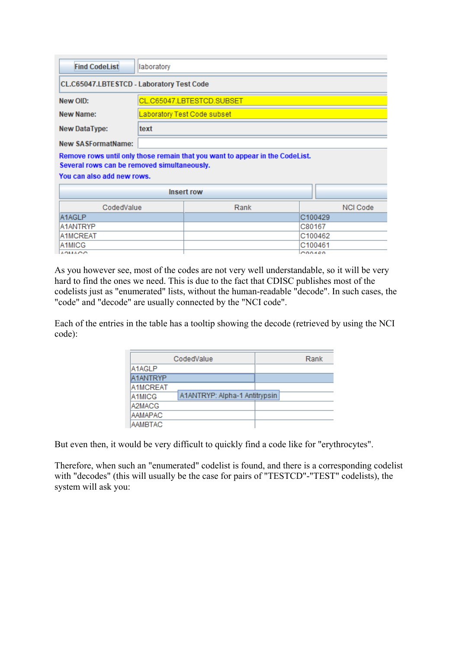| <b>Find CodeList</b><br>laboratory          |         |                                                                              |                 |  |  |  |  |
|---------------------------------------------|---------|------------------------------------------------------------------------------|-----------------|--|--|--|--|
| CL.C65047.LBTESTCD - Laboratory Test Code   |         |                                                                              |                 |  |  |  |  |
| New OID:                                    |         | CL.C65047.LBTESTCD.SUBSET                                                    |                 |  |  |  |  |
| New Name:                                   |         | Laboratory Test Code subset                                                  |                 |  |  |  |  |
| <b>New DataType:</b>                        | text    |                                                                              |                 |  |  |  |  |
| <b>New SASFormatName:</b>                   |         |                                                                              |                 |  |  |  |  |
| Several rows can be removed simultaneously. |         | Remove rows until only those remain that you want to appear in the CodeList. |                 |  |  |  |  |
| You can also add new rows.                  |         |                                                                              |                 |  |  |  |  |
|                                             |         | <b>Insert row</b>                                                            |                 |  |  |  |  |
| CodedValue                                  |         | Rank                                                                         | <b>NCI Code</b> |  |  |  |  |
| A1AGLP                                      | C100429 |                                                                              |                 |  |  |  |  |
| A1ANTRYP<br>C80167                          |         |                                                                              |                 |  |  |  |  |
| A1MCREAT                                    |         |                                                                              | C100462         |  |  |  |  |
| A1MICG                                      | C100461 |                                                                              |                 |  |  |  |  |
| <b>AOMAOO</b><br>000400                     |         |                                                                              |                 |  |  |  |  |

As you however see, most of the codes are not very well understandable, so it will be very hard to find the ones we need. This is due to the fact that CDISC publishes most of the codelists just as "enumerated" lists, without the human-readable "decode". In such cases, the "code" and "decode" are usually connected by the "NCI code".

Each of the entries in the table has a tooltip showing the decode (retrieved by using the NCI code):

|                 | CodedValue                    | Rank |
|-----------------|-------------------------------|------|
| A1AGLP          |                               |      |
| <b>A1ANTRYP</b> |                               |      |
| A1MCREAT        |                               |      |
| A1MICG          | A1ANTRYP: Alpha-1 Antitrypsin |      |
| A2MACG          |                               |      |
| <b>AAMAPAC</b>  |                               |      |
| <b>AAMBTAC</b>  |                               |      |

But even then, it would be very difficult to quickly find a code like for "erythrocytes".

Therefore, when such an "enumerated" codelist is found, and there is a corresponding codelist with "decodes" (this will usually be the case for pairs of "TESTCD"-"TEST" codelists), the system will ask you: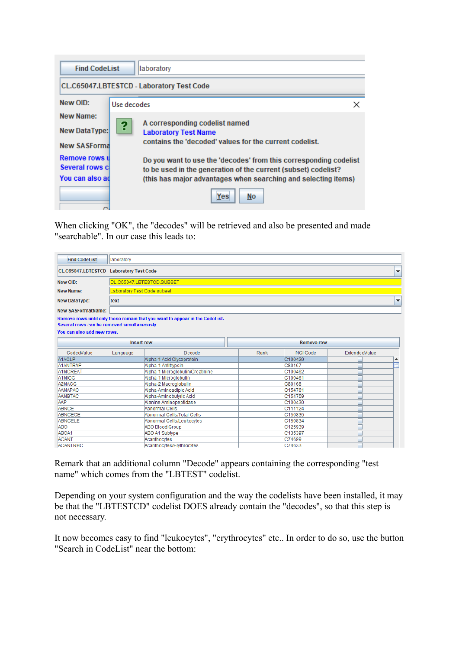| <b>Find CodeList</b><br>laboratory     |                                                  |                                                                                                                                     |  |  |  |  |
|----------------------------------------|--------------------------------------------------|-------------------------------------------------------------------------------------------------------------------------------------|--|--|--|--|
|                                        | <b>CL.C65047.LBTESTCD - Laboratory Test Code</b> |                                                                                                                                     |  |  |  |  |
| New OID:<br>Use decodes<br>×           |                                                  |                                                                                                                                     |  |  |  |  |
| New Name:                              | ?                                                | A corresponding codelist named                                                                                                      |  |  |  |  |
| <b>New DataType:</b>                   |                                                  | <b>Laboratory Test Name</b><br>contains the 'decoded' values for the current codelist.                                              |  |  |  |  |
| <b>New SASForma</b>                    |                                                  |                                                                                                                                     |  |  |  |  |
| <b>Remove rows u</b><br>Several rows c |                                                  | Do you want to use the 'decodes' from this corresponding codelist<br>to be used in the generation of the current (subset) codelist? |  |  |  |  |
| You can also ad                        |                                                  | (this has major advantages when searching and selecting items)                                                                      |  |  |  |  |
|                                        |                                                  | Yes<br>No                                                                                                                           |  |  |  |  |

When clicking "OK", the "decodes" will be retrieved and also be presented and made "searchable". In our case this leads to:

| <b>Find CodeList</b><br>laboratory                                        |                                        |                                                                              |         |                 |               |   |  |
|---------------------------------------------------------------------------|----------------------------------------|------------------------------------------------------------------------------|---------|-----------------|---------------|---|--|
| CL.C65047.LBTESTCD - Laboratory Test Code<br>▼                            |                                        |                                                                              |         |                 |               |   |  |
| New OID:                                                                  | CL.C65047.LBTESTCD.SUBSET              |                                                                              |         |                 |               |   |  |
| <b>New Name:</b>                                                          |                                        | Laboratory Test Code subset                                                  |         |                 |               |   |  |
| <b>New DataType:</b>                                                      | text                                   | ▼                                                                            |         |                 |               |   |  |
| <b>New SASFormatName:</b>                                                 |                                        |                                                                              |         |                 |               |   |  |
| Several rows can be removed simultaneously.<br>You can also add new rows. |                                        | Remove rows until only those remain that you want to appear in the CodeList. |         |                 |               |   |  |
|                                                                           | <b>Insert row</b><br><b>Remove row</b> |                                                                              |         |                 |               |   |  |
| CodedValue                                                                | Language                               | Decode                                                                       | Rank    | <b>NCI Code</b> | ExtendedValue |   |  |
| A1AGLP                                                                    |                                        | Alpha-1 Acid Glycoprotein                                                    |         | C100429         |               | ▲ |  |
| <b>A1ANTRYP</b>                                                           |                                        | Alpha-1 Antitrypsin                                                          |         | C80167          |               |   |  |
| A1MCREAT                                                                  |                                        | Alpha-1 Microglobulin/Creatinine                                             |         | C100462         |               |   |  |
| A <sub>1</sub> MICG                                                       |                                        | Alpha-1 Microglobulin                                                        |         | C100461         |               |   |  |
| A2MACG                                                                    |                                        | Alpha-2 Macroglobulin                                                        |         | C80168          |               |   |  |
| <b>AAMAPAC</b>                                                            |                                        | Alpha-Aminoadipic Acid                                                       |         | C154761         |               |   |  |
| <b>AAMBTAC</b>                                                            |                                        | Alpha-Aminobutyric Acid                                                      |         | C154759         |               |   |  |
| AAP                                                                       |                                        | Alanine Aminopeptidase                                                       |         | C100430         |               |   |  |
| <b>ABNCE</b>                                                              |                                        | Abnormal Cells                                                               |         | C111124         |               |   |  |
| <b>ABNCECE</b>                                                            |                                        | Abnormal Cells/Total Cells                                                   |         | C150835         |               |   |  |
| <b>ABNCELE</b>                                                            |                                        | Abnormal Cells/Leukocytes                                                    | C150834 |                 |               |   |  |
| ABO                                                                       |                                        | C125939<br><b>ABO Blood Group</b>                                            |         |                 |               |   |  |
| ABOA1                                                                     |                                        | <b>ABO A1 Subtype</b>                                                        | C135397 |                 |               |   |  |
| <b>ACANT</b>                                                              |                                        | Acanthocytes                                                                 |         | C74699          |               |   |  |
| <b>ACANTRBC</b>                                                           |                                        | Acanthocytes/Ervthrocytes                                                    |         | C74633          |               |   |  |

Remark that an additional column "Decode" appears containing the corresponding "test name" which comes from the "LBTEST" codelist.

Depending on your system configuration and the way the codelists have been installed, it may be that the "LBTESTCD" codelist DOES already contain the "decodes", so that this step is not necessary.

It now becomes easy to find "leukocytes", "erythrocytes" etc.. In order to do so, use the button "Search in CodeList" near the bottom: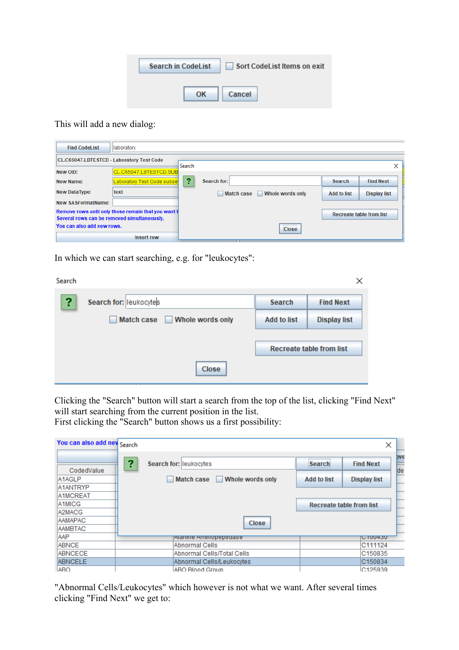| <b>Search in CodeList</b> | Sort CodeList Items on exit |
|---------------------------|-----------------------------|
| ΩK                        | Cancel                      |

## This will add a new dialog:

| <b>Find CodeList</b>                        | llaboratory                                         |               |                                       |                    |                                 |
|---------------------------------------------|-----------------------------------------------------|---------------|---------------------------------------|--------------------|---------------------------------|
| CL.C65047.LBTESTCD - Laboratory Test Code   |                                                     | <b>Search</b> |                                       |                    | ×                               |
| New OID:                                    | CL.C65047.LBTESTCD.SUB                              |               |                                       |                    |                                 |
| New Name:                                   | Laboratory Test Code subset                         | ?             | Search for:                           | <b>Search</b>      | <b>Find Next</b>                |
| <b>New DataType:</b>                        | text                                                |               | Whole words only<br><b>Match case</b> | <b>Add to list</b> | <b>Display list</b>             |
| <b>New SASFormatName:</b>                   |                                                     |               |                                       |                    |                                 |
| Several rows can be removed simultaneously. | Remove rows until only those remain that you want t |               |                                       |                    | <b>Recreate table from list</b> |
| You can also add new rows.                  |                                                     |               | <b>Close</b>                          |                    |                                 |
|                                             | <b>Insert row</b>                                   |               |                                       |                    |                                 |

In which we can start searching, e.g. for "leukocytes":

| Search |                                                                        |                    | ×                               |
|--------|------------------------------------------------------------------------|--------------------|---------------------------------|
| የ      | Search for: leukocytes                                                 | <b>Search</b>      | <b>Find Next</b>                |
|        | <b>Match case</b><br>Whole words only<br>$\overline{\phantom{a}}$<br>٠ | <b>Add to list</b> | <b>Display list</b>             |
|        |                                                                        |                    | <b>Recreate table from list</b> |
|        | <b>Close</b>                                                           |                    |                                 |

Clicking the "Search" button will start a search from the top of the list, clicking "Find Next" will start searching from the current position in the list.

First clicking the "Search" button shows us a first possibility:

| You can also add new Search |   |                                       |                    | ×                               |
|-----------------------------|---|---------------------------------------|--------------------|---------------------------------|
| CodedValue                  | ? | Search for: leukocytes                | <b>Search</b>      | bve<br><b>Find Next</b><br>de   |
| A1AGLP                      |   | <b>Match case</b><br>Whole words only | <b>Add to list</b> | <b>Display list</b>             |
| A1ANTRYP                    |   |                                       |                    |                                 |
| <b>A1MCREAT</b>             |   |                                       |                    |                                 |
| A1MICG                      |   |                                       |                    | <b>Recreate table from list</b> |
| A2MACG                      |   |                                       |                    |                                 |
| AAMAPAC                     |   | Close                                 |                    |                                 |
| AAMBTAC                     |   |                                       |                    |                                 |
| AAP                         |   | <u>paanine Aminopepudase</u>          |                    | <b>UT00430</b>                  |
| <b>ABNCE</b>                |   | Abnormal Cells                        |                    | C111124                         |
| <b>ABNCECE</b>              |   | Abnormal Cells/Total Cells            |                    | C150835                         |
| <b>ABNCELE</b>              |   | Abnormal Cells/Leukocytes             |                    | C150834                         |
| <b>ARO</b>                  |   | <b>ABO Blood Group</b>                |                    | C <sub>125939</sub>             |

"Abnormal Cells/Leukocytes" which however is not what we want. After several times clicking "Find Next" we get to: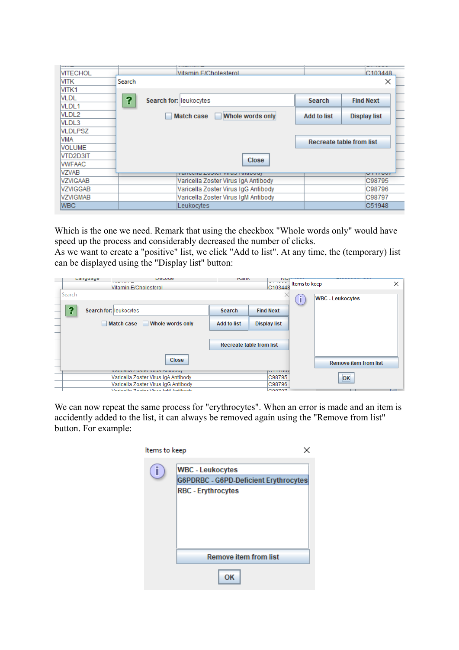| <b>VITECHOL</b>     |        | Vitamin F/Cholesterol                  |                    | C <sub>103448</sub>             |
|---------------------|--------|----------------------------------------|--------------------|---------------------------------|
| VITK                | Search |                                        |                    | ×                               |
| VITK1               |        |                                        |                    |                                 |
| VLDL                | ?      | Search for: leukocytes                 | <b>Search</b>      | <b>Find Next</b>                |
| VLDL1               |        |                                        |                    |                                 |
| VLDL2               |        | Whole words only<br><b>Match case</b>  | <b>Add to list</b> | <b>Display list</b>             |
| VLDL3               |        |                                        |                    |                                 |
| VLDLPSZ             |        |                                        |                    |                                 |
| VMA                 |        |                                        |                    | <b>Recreate table from list</b> |
| <b>VOLUME</b>       |        |                                        |                    |                                 |
| VTD2D3IT            |        | Close                                  |                    |                                 |
| <b><i>WFAAC</i></b> |        |                                        |                    |                                 |
| VZVAB               |        | <b>VUITCORD EVOIGT VIIUD / WINDOUT</b> |                    | <del>,,,,,,,,</del>             |
| VZVIGAAB            |        | Varicella Zoster Virus IgA Antibody    |                    | C98795                          |
| VZVIGGAB            |        | Varicella Zoster Virus IgG Antibody    |                    | C98796                          |
| <b>VZVIGMAB</b>     |        | Varicella Zoster Virus IgM Antibody    |                    | C98797                          |
| <b>WBC</b>          |        | Leukocytes                             |                    | C51948                          |

Which is the one we need. Remark that using the checkbox "Whole words only" would have speed up the process and considerably decreased the number of clicks.

As we want to create a "positive" list, we click "Add to list". At any time, the (temporary) list can be displayed using the "Display list" button:

| Language<br>Decoue |                       |                                            |                    | <b>IN dill</b>           |  |                              |
|--------------------|-----------------------|--------------------------------------------|--------------------|--------------------------|--|------------------------------|
|                    | Vitamin E/Cholesterol |                                            |                    | C103448                  |  | Items to keep                |
| Search             |                       |                                            |                    |                          |  | <b>WBC - Leukocytes</b>      |
|                    | ?                     | Search for: leukocytes                     | <b>Search</b>      | <b>Find Next</b>         |  |                              |
|                    |                       | <b>Match case</b><br>Whole words only<br>٠ | <b>Add to list</b> | <b>Display list</b>      |  |                              |
|                    |                       |                                            |                    |                          |  |                              |
|                    |                       |                                            |                    | Recreate table from list |  |                              |
|                    |                       | Close                                      |                    |                          |  | <b>Remove item from list</b> |
|                    |                       | ν αποσπά Συρισι νιταρ Απιτυναν             |                    | V11100                   |  |                              |
|                    |                       | Varicella Zoster Virus IgA Antibody        |                    | C98795                   |  | OK                           |
|                    |                       | Varicella Zoster Virus IgG Antibody        |                    | C98796                   |  |                              |
|                    |                       | Morioelle Zeeter Virue Johl Antibody       |                    | 000707                   |  |                              |

We can now repeat the same process for "erythrocytes". When an error is made and an item is accidently added to the list, it can always be removed again using the "Remove from list" button. For example:

| Items to keep |                                                                                                      |
|---------------|------------------------------------------------------------------------------------------------------|
|               | <b>WBC - Leukocytes</b><br><b>G6PDRBC - G6PD-Deficient Erythrocytes</b><br><b>RBC - Erythrocytes</b> |
|               | <b>Remove item from list</b>                                                                         |
|               | OΚ                                                                                                   |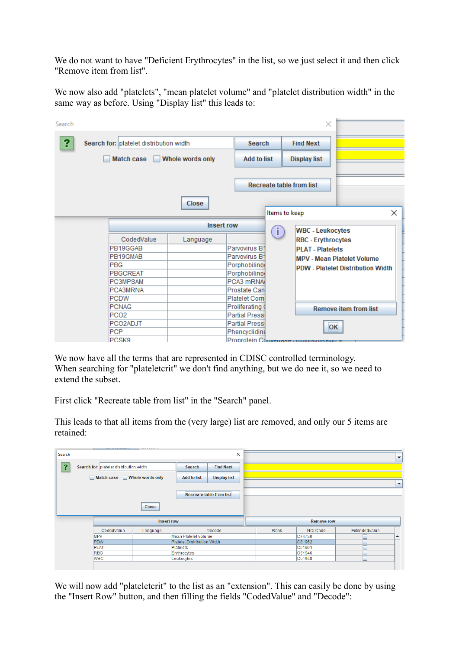We do not want to have "Deficient Erythrocytes" in the list, so we just select it and then click "Remove item from list".

We now also add "platelets", "mean platelet volume" and "platelet distribution width" in the same way as before. Using "Display list" this leads to:

| ?<br>Search for: platelet distribution width<br><b>Search</b><br><b>Find Next</b><br>Whole words only<br><b>Add to list</b><br><b>Match case</b><br><b>Display list</b><br><b>Recreate table from list</b><br><b>Close</b><br>X<br>Items to keep<br><b>Insert row</b><br>T<br><b>WBC - Leukocytes</b><br>CodedValue<br>Language<br><b>RBC - Erythrocytes</b><br>Parvovirus B1<br>PB19GGAB<br><b>PLAT - Platelets</b><br>Parvovirus B1<br>PB19GMAB<br><b>MPV - Mean Platelet Volume</b><br><b>PBG</b><br>Porphobilino<br><b>PDW - Platelet Distribution Width</b><br><b>PBGCREAT</b><br>Porphobilino<br>PCA3 mRNA<br><b>PC3MPSAM</b><br><b>PCA3MRNA</b><br><b>Prostate Can</b><br><b>PCDW</b><br>Platelet Com<br><b>PCNAG</b><br>Proliferating (<br><b>Remove item from list</b><br><b>Partial Pressi</b><br>PCO <sub>2</sub><br><b>Partial Pressi</b><br>PCO2ADJT<br>OK<br><b>PCP</b><br>Phencyclidine<br>Proprotein Comments | Search |       |  |  | × |  |  |  |
|-------------------------------------------------------------------------------------------------------------------------------------------------------------------------------------------------------------------------------------------------------------------------------------------------------------------------------------------------------------------------------------------------------------------------------------------------------------------------------------------------------------------------------------------------------------------------------------------------------------------------------------------------------------------------------------------------------------------------------------------------------------------------------------------------------------------------------------------------------------------------------------------------------------------------------|--------|-------|--|--|---|--|--|--|
|                                                                                                                                                                                                                                                                                                                                                                                                                                                                                                                                                                                                                                                                                                                                                                                                                                                                                                                               |        |       |  |  |   |  |  |  |
|                                                                                                                                                                                                                                                                                                                                                                                                                                                                                                                                                                                                                                                                                                                                                                                                                                                                                                                               |        |       |  |  |   |  |  |  |
|                                                                                                                                                                                                                                                                                                                                                                                                                                                                                                                                                                                                                                                                                                                                                                                                                                                                                                                               |        |       |  |  |   |  |  |  |
|                                                                                                                                                                                                                                                                                                                                                                                                                                                                                                                                                                                                                                                                                                                                                                                                                                                                                                                               |        |       |  |  |   |  |  |  |
|                                                                                                                                                                                                                                                                                                                                                                                                                                                                                                                                                                                                                                                                                                                                                                                                                                                                                                                               |        |       |  |  |   |  |  |  |
|                                                                                                                                                                                                                                                                                                                                                                                                                                                                                                                                                                                                                                                                                                                                                                                                                                                                                                                               |        |       |  |  |   |  |  |  |
|                                                                                                                                                                                                                                                                                                                                                                                                                                                                                                                                                                                                                                                                                                                                                                                                                                                                                                                               |        |       |  |  |   |  |  |  |
|                                                                                                                                                                                                                                                                                                                                                                                                                                                                                                                                                                                                                                                                                                                                                                                                                                                                                                                               |        |       |  |  |   |  |  |  |
|                                                                                                                                                                                                                                                                                                                                                                                                                                                                                                                                                                                                                                                                                                                                                                                                                                                                                                                               |        |       |  |  |   |  |  |  |
|                                                                                                                                                                                                                                                                                                                                                                                                                                                                                                                                                                                                                                                                                                                                                                                                                                                                                                                               |        |       |  |  |   |  |  |  |
|                                                                                                                                                                                                                                                                                                                                                                                                                                                                                                                                                                                                                                                                                                                                                                                                                                                                                                                               |        |       |  |  |   |  |  |  |
|                                                                                                                                                                                                                                                                                                                                                                                                                                                                                                                                                                                                                                                                                                                                                                                                                                                                                                                               |        |       |  |  |   |  |  |  |
|                                                                                                                                                                                                                                                                                                                                                                                                                                                                                                                                                                                                                                                                                                                                                                                                                                                                                                                               |        |       |  |  |   |  |  |  |
|                                                                                                                                                                                                                                                                                                                                                                                                                                                                                                                                                                                                                                                                                                                                                                                                                                                                                                                               |        |       |  |  |   |  |  |  |
|                                                                                                                                                                                                                                                                                                                                                                                                                                                                                                                                                                                                                                                                                                                                                                                                                                                                                                                               |        |       |  |  |   |  |  |  |
|                                                                                                                                                                                                                                                                                                                                                                                                                                                                                                                                                                                                                                                                                                                                                                                                                                                                                                                               |        | PCSK9 |  |  |   |  |  |  |

We now have all the terms that are represented in CDISC controlled terminology. When searching for "plateletcrit" we don't find anything, but we do nee it, so we need to extend the subset.

First click "Recreate table from list" in the "Search" panel.

This leads to that all items from the (very large) list are removed, and only our 5 items are retained:

| Search                  |                                         |                   |                             | $\times$                        |      |                   |               | $\overline{\phantom{a}}$ |
|-------------------------|-----------------------------------------|-------------------|-----------------------------|---------------------------------|------|-------------------|---------------|--------------------------|
| $\overline{\mathbf{?}}$ | Search for: platelet distribution width |                   | <b>Search</b>               | <b>Find Next</b>                |      |                   |               |                          |
|                         | <b>Match case</b>                       | Whole words only  | <b>Add to list</b>          | <b>Display list</b>             |      |                   |               | $\overline{\phantom{a}}$ |
|                         |                                         |                   |                             | <b>Recreate table from list</b> |      |                   |               |                          |
|                         |                                         | Close             |                             |                                 |      |                   |               |                          |
|                         |                                         |                   |                             |                                 |      |                   |               |                          |
|                         |                                         | <b>Insert row</b> |                             |                                 |      | <b>Remove row</b> |               |                          |
|                         | CodedValue                              | Language          |                             | Decode                          | Rank | <b>NCI Code</b>   | ExtendedValue |                          |
|                         | <b>MPV</b>                              |                   | Mean Platelet Volume        |                                 |      | C74730            |               | ▲                        |
|                         | <b>PDW</b>                              |                   | Platelet Distribution Width |                                 |      | C81962            |               |                          |
|                         | <b>PLAT</b>                             |                   | <b>Platelets</b>            |                                 |      | C51951            |               |                          |
|                         | <b>RBC</b>                              |                   | Erythrocytes                |                                 |      | C51946            |               |                          |

We will now add "plateletcrit" to the list as an "extension". This can easily be done by using the "Insert Row" button, and then filling the fields "CodedValue" and "Decode":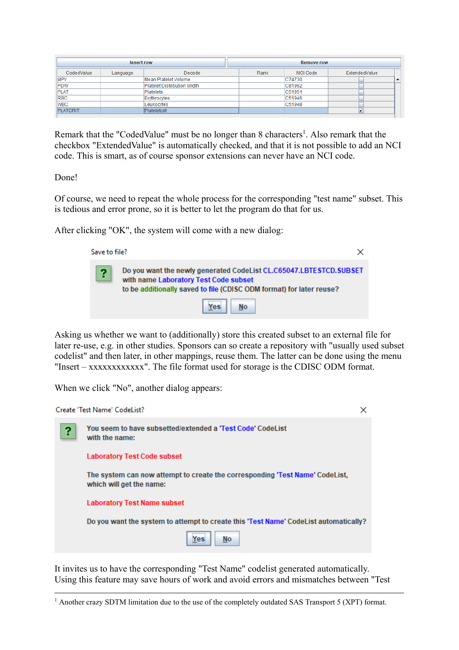|                                    | <b>Insert row</b> |                      | <b>Remove row</b> |          |                         |  |  |
|------------------------------------|-------------------|----------------------|-------------------|----------|-------------------------|--|--|
| CodedValue                         | Language          | Decode               | Rank              | NCI Code | ExtendedValue           |  |  |
| <b>MPV</b>                         |                   | Mean Platelet Volume |                   | C74730   | $\blacktriangle$        |  |  |
| PDW<br>Platelet Distribution Width |                   |                      | C81962            |          |                         |  |  |
| <b>PLAT</b>                        | Platelets         |                      |                   | C51951   |                         |  |  |
| <b>RBC</b><br>Erythrocytes         |                   |                      | C51946            |          |                         |  |  |
| <b>IWBC</b>                        |                   | Leukocytes           |                   | C51948   |                         |  |  |
| <b>PLATCRIT</b><br>Plateletcrit    |                   |                      |                   |          | $\overline{\mathbf{v}}$ |  |  |

<span id="page-7-1"></span>Remark that the "CodedValue" must be no longer than 8 characters<sup>[1](#page-7-0)</sup>. Also remark that the checkbox "ExtendedValue" is automatically checked, and that it is not possible to add an NCI code. This is smart, as of course sponsor extensions can never have an NCI code.

Done!

Of course, we need to repeat the whole process for the corresponding "test name" subset. This is tedious and error prone, so it is better to let the program do that for us.

After clicking "OK", the system will come with a new dialog:



Asking us whether we want to (additionally) store this created subset to an external file for later re-use, e.g. in other studies. Sponsors can so create a repository with "usually used subset codelist" and then later, in other mappings, reuse them. The latter can be done using the menu "Insert – xxxxxxxxxxxx". The file format used for storage is the CDISC ODM format.

When we click "No", another dialog appears:



It invites us to have the corresponding "Test Name" codelist generated automatically. Using this feature may save hours of work and avoid errors and mismatches between "Test

<span id="page-7-0"></span><sup>&</sup>lt;sup>1</sup> Another crazy SDTM limitation due to the use of the [completely](#page-7-1) outdated SAS Transport 5 (XPT) format.